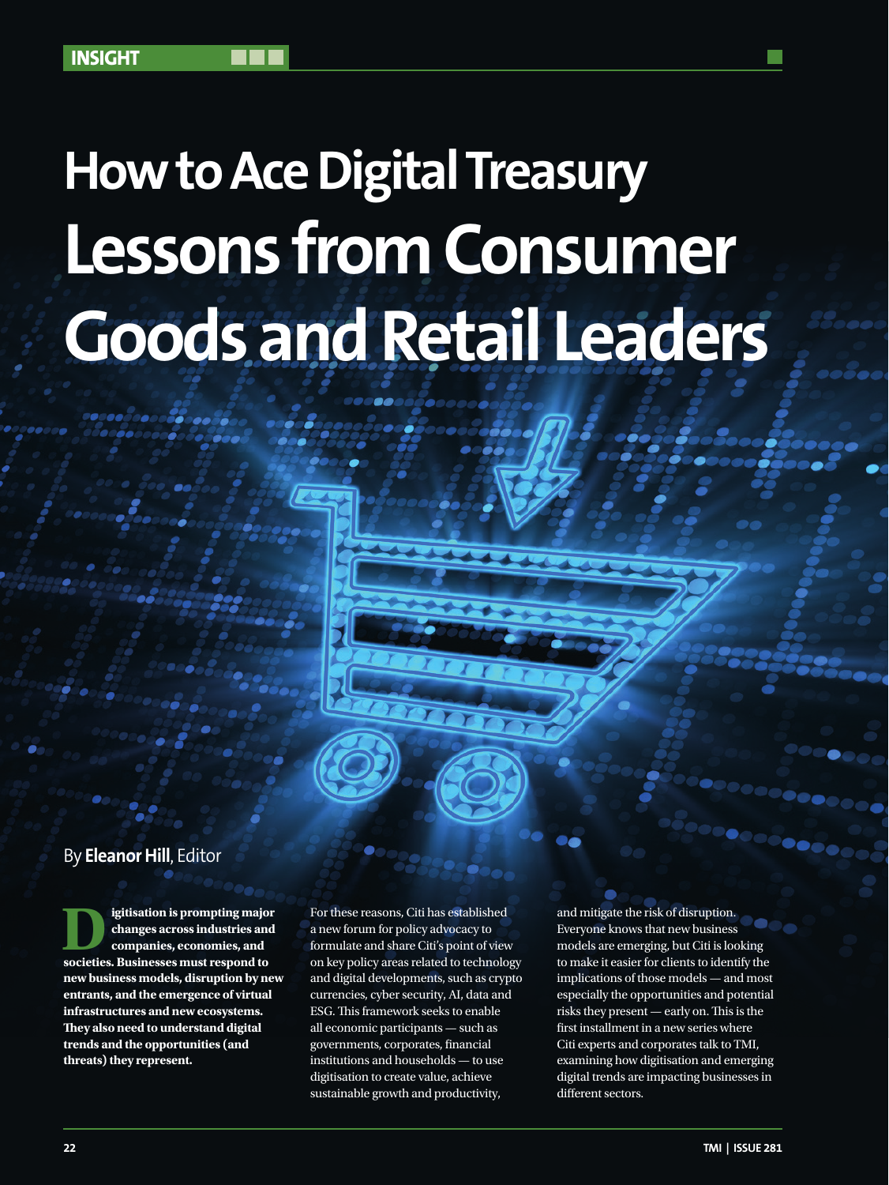# **How to Ace Digital Treasury Lessons from Consumer Goods and Retail Leaders**

## By **Eleanor Hill**, Editor

**ligitisation is prompting major<br>
changes across industries and<br>
companies, economies, and<br>
societies Rusinesses must respond to changes across industries and societies. Businesses must respond to new business models, disruption by new entrants, and the emergence of virtual infrastructures and new ecosystems. They also need to understand digital trends and the opportunities (and threats) they represent.** 

For these reasons, Citi has established a new forum for policy advocacy to formulate and share Citi's point of view on key policy areas related to technology and digital developments, such as crypto currencies, cyber security, AI, data and ESG. This framework seeks to enable all economic participants — such as governments, corporates, financial institutions and households — to use digitisation to create value, achieve sustainable growth and productivity,

and mitigate the risk of disruption. Everyone knows that new business models are emerging, but Citi is looking to make it easier for clients to identify the implications of those models — and most especially the opportunities and potential risks they present — early on. This is the first installment in a new series where Citi experts and corporates talk to TMI, examining how digitisation and emerging digital trends are impacting businesses in different sectors.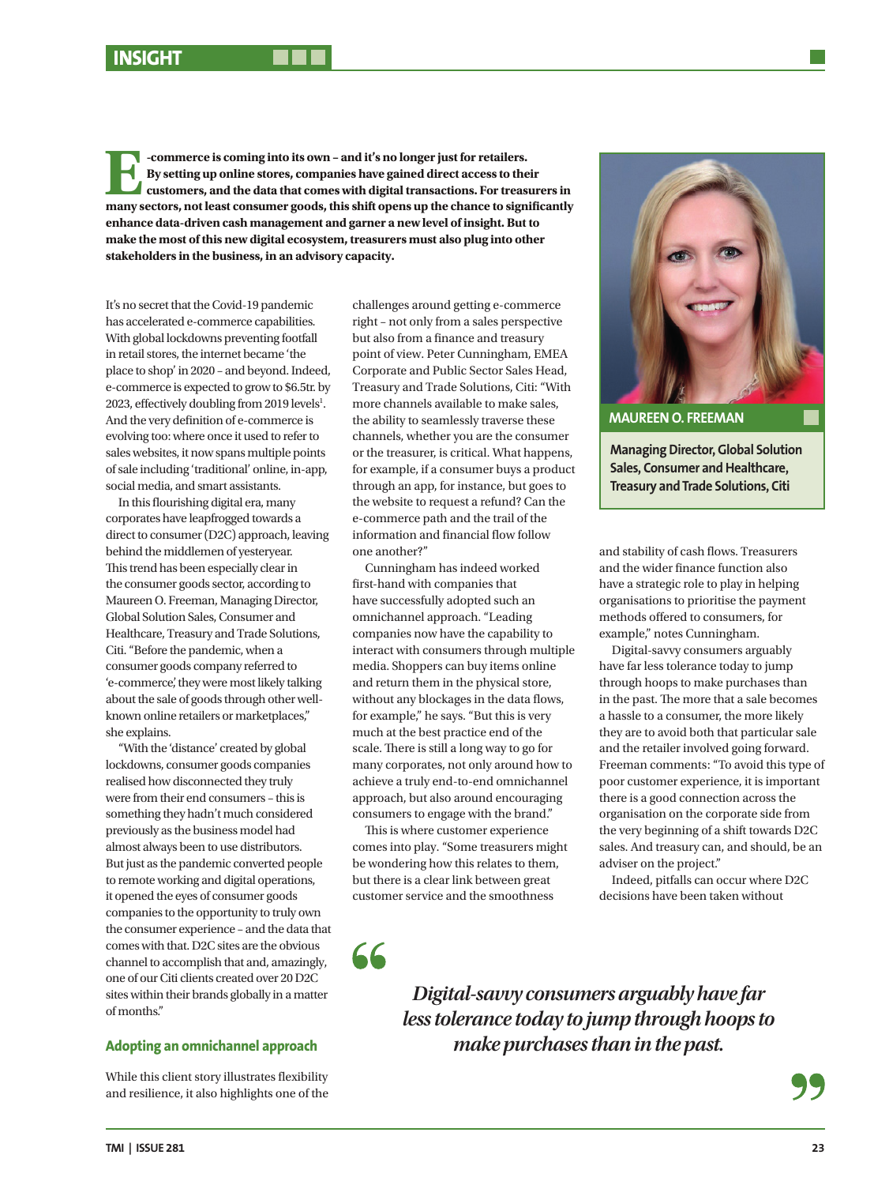**E-commerce is coming into its own – and it's no longer just for retailers.**<br>By setting up online stores, companies have gained direct access to the customers, and the data that comes with digital transactions. For treas<br>m **By setting up online stores, companies have gained direct access to their customers, and the data that comes with digital transactions. For treasurers in many sectors, not least consumer goods, this shift opens up the chance to significantly enhance data-driven cash management and garner a new level of insight. But to make the most of this new digital ecosystem, treasurers must also plug into other stakeholders in the business, in an advisory capacity.**

It's no secret that the Covid-19 pandemic has accelerated e-commerce capabilities. With global lockdowns preventing footfall in retail stores, the internet became 'the place to shop' in 2020 – and beyond. Indeed, e-commerce is expected to grow to \$6.5tr. by 2023, effectively doubling from 2019 levels<sup>1</sup>. And the very definition of e-commerce is evolving too: where once it used to refer to sales websites, it now spans multiple points of sale including 'traditional' online, in-app, social media, and smart assistants.

In this flourishing digital era, many corporates have leapfrogged towards a direct to consumer (D2C) approach, leaving behind the middlemen of yesteryear. This trend has been especially clear in the consumer goods sector, according to Maureen O. Freeman, Managing Director, Global Solution Sales, Consumer and Healthcare, Treasury and Trade Solutions, Citi. "Before the pandemic, when a consumer goods company referred to 'e-commerce', they were most likely talking about the sale of goods through other wellknown online retailers or marketplaces," she explains.

"With the 'distance' created by global lockdowns, consumer goods companies realised how disconnected they truly were from their end consumers – this is something they hadn't much considered previously as the business model had almost always been to use distributors. But just as the pandemic converted people to remote working and digital operations, it opened the eyes of consumer goods companies to the opportunity to truly own the consumer experience – and the data that comes with that. D2C sites are the obvious channel to accomplish that and, amazingly, one of our Citi clients created over 20 D2C sites within their brands globally in a matter of months."

### **Adopting an omnichannel approach**

While this client story illustrates flexibility and resilience, it also highlights one of the

challenges around getting e-commerce right – not only from a sales perspective but also from a finance and treasury point of view. Peter Cunningham, EMEA Corporate and Public Sector Sales Head, Treasury and Trade Solutions, Citi: "With more channels available to make sales, the ability to seamlessly traverse these channels, whether you are the consumer or the treasurer, is critical. What happens, for example, if a consumer buys a product through an app, for instance, but goes to the website to request a refund? Can the e-commerce path and the trail of the information and financial flow follow one another?"

Cunningham has indeed worked first-hand with companies that have successfully adopted such an omnichannel approach. "Leading companies now have the capability to interact with consumers through multiple media. Shoppers can buy items online and return them in the physical store, without any blockages in the data flows, for example," he says. "But this is very much at the best practice end of the scale. There is still a long way to go for many corporates, not only around how to achieve a truly end-to-end omnichannel approach, but also around encouraging consumers to engage with the brand."

This is where customer experience comes into play. "Some treasurers might be wondering how this relates to them, but there is a clear link between great customer service and the smoothness

66



**Managing Director, Global Solution Sales, Consumer and Healthcare, Treasury and Trade Solutions, Citi**

and stability of cash flows. Treasurers and the wider finance function also have a strategic role to play in helping organisations to prioritise the payment methods offered to consumers, for example," notes Cunningham.

Digital-savvy consumers arguably have far less tolerance today to jump through hoops to make purchases than in the past. The more that a sale becomes a hassle to a consumer, the more likely they are to avoid both that particular sale and the retailer involved going forward. Freeman comments: "To avoid this type of poor customer experience, it is important there is a good connection across the organisation on the corporate side from the very beginning of a shift towards D2C sales. And treasury can, and should, be an adviser on the project."

Indeed, pitfalls can occur where D2C decisions have been taken without

*Digital-savvy consumers arguably have far less tolerance today to jump through hoops to make purchases than in the past.*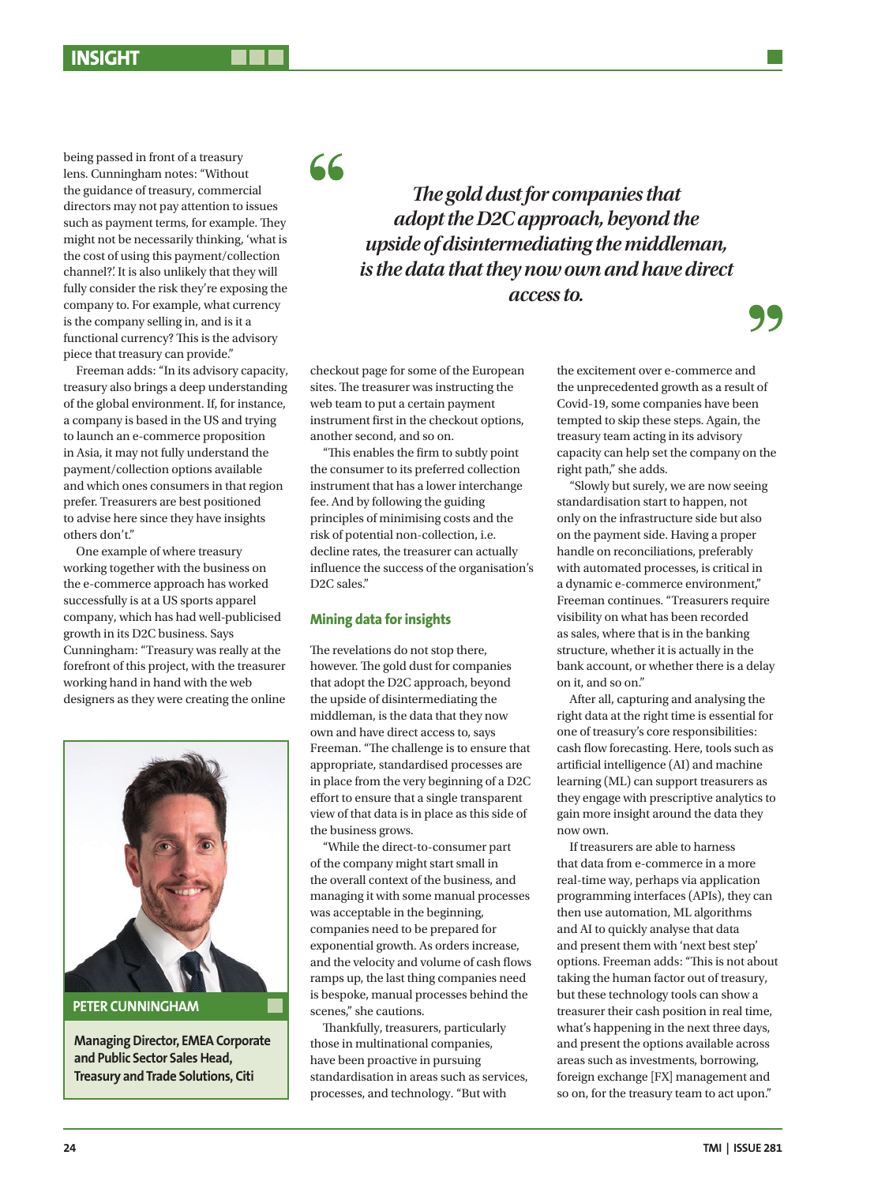being passed in front of a treasury lens. Cunningham notes: "Without the guidance of treasury, commercial directors may not pay attention to issues such as payment terms, for example. They might not be necessarily thinking, 'what is the cost of using this payment/collection channel?'. It is also unlikely that they will fully consider the risk they're exposing the company to. For example, what currency is the company selling in, and is it a functional currency? This is the advisory piece that treasury can provide."

Freeman adds: "In its advisory capacity, treasury also brings a deep understanding of the global environment. If, for instance, a company is based in the US and trying to launch an e-commerce proposition in Asia, it may not fully understand the payment/collection options available and which ones consumers in that region prefer. Treasurers are best positioned to advise here since they have insights others don't."

One example of where treasury working together with the business on the e-commerce approach has worked successfully is at a US sports apparel company, which has had well-publicised growth in its D2C business. Says Cunningham: "Treasury was really at the forefront of this project, with the treasurer working hand in hand with the web designers as they were creating the online



**Managing Director, EMEA Corporate and Public Sector Sales Head, Treasury and Trade Solutions, Citi**

66

*The gold dust for companies that adopt the D2C approach, beyond the upside of disintermediating the middleman, is the data that they now own and have direct access to.*

checkout page for some of the European sites. The treasurer was instructing the web team to put a certain payment instrument first in the checkout options, another second, and so on.

"This enables the firm to subtly point the consumer to its preferred collection instrument that has a lower interchange fee. And by following the guiding principles of minimising costs and the risk of potential non-collection, i.e. decline rates, the treasurer can actually influence the success of the organisation's D2C sales."

#### **Mining data for insights**

The revelations do not stop there, however. The gold dust for companies that adopt the D2C approach, beyond the upside of disintermediating the middleman, is the data that they now own and have direct access to, says Freeman. "The challenge is to ensure that appropriate, standardised processes are in place from the very beginning of a D2C effort to ensure that a single transparent view of that data is in place as this side of the business grows.

"While the direct-to-consumer part of the company might start small in the overall context of the business, and managing it with some manual processes was acceptable in the beginning, companies need to be prepared for exponential growth. As orders increase, and the velocity and volume of cash flows ramps up, the last thing companies need is bespoke, manual processes behind the scenes," she cautions.

Thankfully, treasurers, particularly those in multinational companies, have been proactive in pursuing standardisation in areas such as services, processes, and technology. "But with

the excitement over e-commerce and the unprecedented growth as a result of Covid-19, some companies have been tempted to skip these steps. Again, the treasury team acting in its advisory capacity can help set the company on the right path," she adds.

"Slowly but surely, we are now seeing standardisation start to happen, not only on the infrastructure side but also on the payment side. Having a proper handle on reconciliations, preferably with automated processes, is critical in a dynamic e-commerce environment," Freeman continues. "Treasurers require visibility on what has been recorded as sales, where that is in the banking structure, whether it is actually in the bank account, or whether there is a delay on it, and so on."

After all, capturing and analysing the right data at the right time is essential for one of treasury's core responsibilities: cash flow forecasting. Here, tools such as artificial intelligence (AI) and machine learning (ML) can support treasurers as they engage with prescriptive analytics to gain more insight around the data they now own.

If treasurers are able to harness that data from e-commerce in a more real-time way, perhaps via application programming interfaces (APIs), they can then use automation, ML algorithms and AI to quickly analyse that data and present them with 'next best step' options. Freeman adds: "This is not about taking the human factor out of treasury, but these technology tools can show a treasurer their cash position in real time, what's happening in the next three days, and present the options available across areas such as investments, borrowing, foreign exchange [FX] management and so on, for the treasury team to act upon."